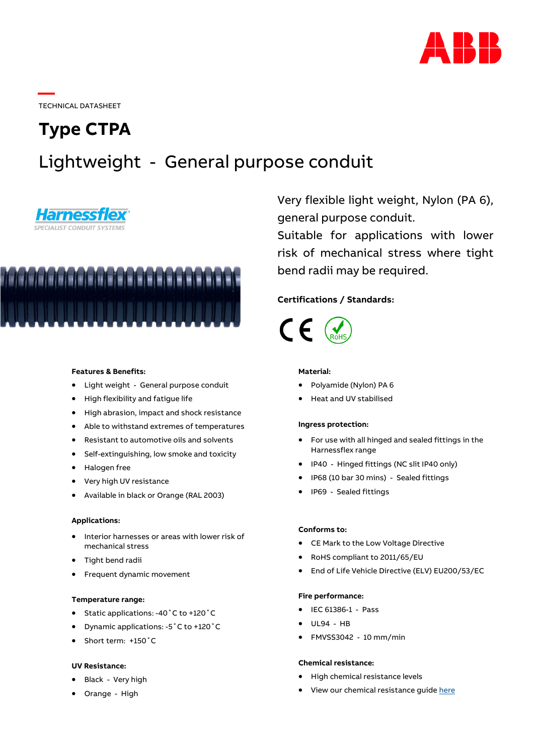

TECHNICAL DATASHEET

# **Type CTPA**

## Lightweight - General purpose conduit





## **Features & Benefits:**

- Light weight General purpose conduit
- High flexibility and fatigue life
- High abrasion, impact and shock resistance
- Able to withstand extremes of temperatures
- Resistant to automotive oils and solvents
- Self-extinguishing, low smoke and toxicity
- Halogen free
- Very high UV resistance
- Available in black or Orange (RAL 2003)

#### **Applications:**

- Interior harnesses or areas with lower risk of mechanical stress
- Tight bend radii
- Frequent dynamic movement

#### **Temperature range:**

- Static applications: -40˚C to +120˚C
- Dynamic applications: -5˚C to +120˚C
- Short term: +150˚C

#### **UV Resistance:**

- Black Very high
- Orange High

Very flexible light weight, Nylon (PA 6), general purpose conduit.

Suitable for applications with lower risk of mechanical stress where tight bend radii may be required.

## **Certifications / Standards:**



#### **Material:**

- Polyamide (Nylon) PA 6
- Heat and UV stabilised

#### **Ingress protection:**

- For use with all hinged and sealed fittings in the Harnessflex range
- IP40 Hinged fittings (NC slit IP40 only)
- IP68 (10 bar 30 mins) Sealed fittings
- IP69 Sealed fittings

#### **Conforms to:**

- CE Mark to the Low Voltage Directive
- RoHS compliant to 2011/65/EU
- End of Life Vehicle Directive (ELV) EU200/53/EC

#### **Fire performance:**

- IEC 61386-1 Pass
- UL94 HB
- FMVSS3042 10 mm/min

## **Chemical resistance:**

- High chemical resistance levels
- View our chemical resistance guide [here](https://search.abb.com/library/Download.aspx?DocumentID=7TKK001495&LanguageCode=en&DocumentPartId=&Action=Launch)